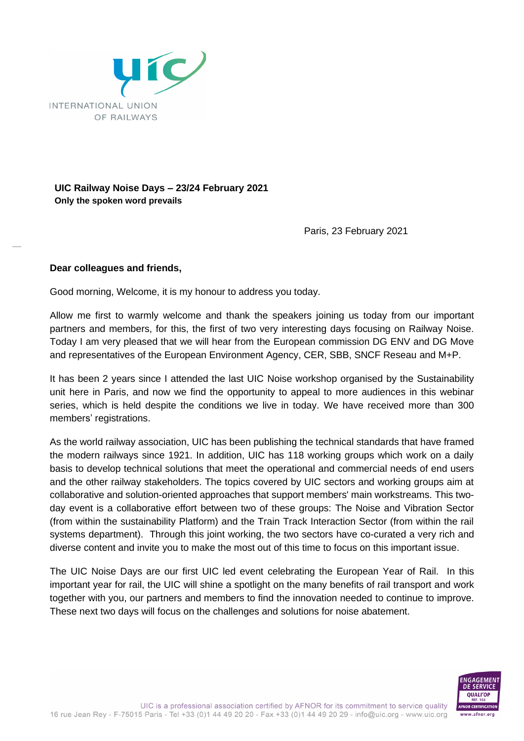

## **UIC Railway Noise Days – 23/24 February 2021 Only the spoken word prevails**

Paris, 23 February 2021

## **Dear colleagues and friends,**

Good morning, Welcome, it is my honour to address you today.

Allow me first to warmly welcome and thank the speakers joining us today from our important partners and members, for this, the first of two very interesting days focusing on Railway Noise. Today I am very pleased that we will hear from the European commission DG ENV and DG Move and representatives of the European Environment Agency, CER, SBB, SNCF Reseau and M+P.

It has been 2 years since I attended the last UIC Noise workshop organised by the Sustainability unit here in Paris, and now we find the opportunity to appeal to more audiences in this webinar series, which is held despite the conditions we live in today. We have received more than 300 members' registrations.

As the world railway association, UIC has been publishing the technical standards that have framed the modern railways since 1921. In addition, UIC has 118 working groups which work on a daily basis to develop technical solutions that meet the operational and commercial needs of end users and the other railway stakeholders. The topics covered by UIC sectors and working groups aim at collaborative and solution-oriented approaches that support members' main workstreams. This twoday event is a collaborative effort between two of these groups: The Noise and Vibration Sector (from within the sustainability Platform) and the Train Track Interaction Sector (from within the rail systems department). Through this joint working, the two sectors have co-curated a very rich and diverse content and invite you to make the most out of this time to focus on this important issue.

The UIC Noise Days are our first UIC led event celebrating the European Year of Rail. In this important year for rail, the UIC will shine a spotlight on the many benefits of rail transport and work together with you, our partners and members to find the innovation needed to continue to improve. These next two days will focus on the challenges and solutions for noise abatement.